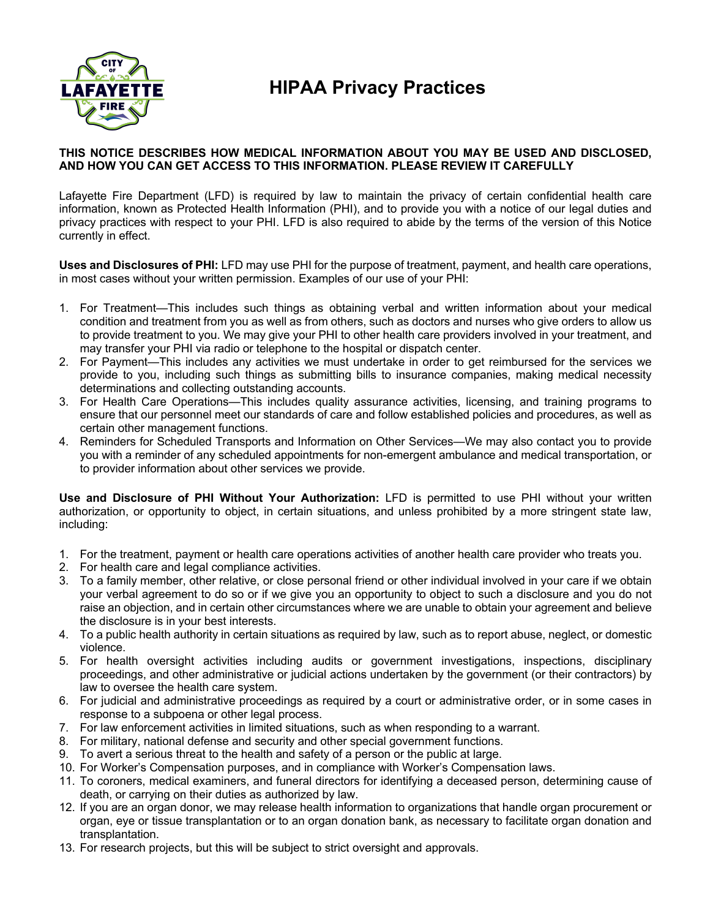

## **HIPAA Privacy Practices**

## **THIS NOTICE DESCRIBES HOW MEDICAL INFORMATION ABOUT YOU MAY BE USED AND DISCLOSED, AND HOW YOU CAN GET ACCESS TO THIS INFORMATION. PLEASE REVIEW IT CAREFULLY**

Lafayette Fire Department (LFD) is required by law to maintain the privacy of certain confidential health care information, known as Protected Health Information (PHI), and to provide you with a notice of our legal duties and privacy practices with respect to your PHI. LFD is also required to abide by the terms of the version of this Notice currently in effect.

**Uses and Disclosures of PHI:** LFD may use PHI for the purpose of treatment, payment, and health care operations, in most cases without your written permission. Examples of our use of your PHI:

- 1. For Treatment—This includes such things as obtaining verbal and written information about your medical condition and treatment from you as well as from others, such as doctors and nurses who give orders to allow us to provide treatment to you. We may give your PHI to other health care providers involved in your treatment, and may transfer your PHI via radio or telephone to the hospital or dispatch center.
- 2. For Payment—This includes any activities we must undertake in order to get reimbursed for the services we provide to you, including such things as submitting bills to insurance companies, making medical necessity determinations and collecting outstanding accounts.
- 3. For Health Care Operations—This includes quality assurance activities, licensing, and training programs to ensure that our personnel meet our standards of care and follow established policies and procedures, as well as certain other management functions.
- 4. Reminders for Scheduled Transports and Information on Other Services—We may also contact you to provide you with a reminder of any scheduled appointments for non-emergent ambulance and medical transportation, or to provider information about other services we provide.

**Use and Disclosure of PHI Without Your Authorization:** LFD is permitted to use PHI without your written authorization, or opportunity to object, in certain situations, and unless prohibited by a more stringent state law, including:

- 1. For the treatment, payment or health care operations activities of another health care provider who treats you.
- 2. For health care and legal compliance activities.
- 3. To a family member, other relative, or close personal friend or other individual involved in your care if we obtain your verbal agreement to do so or if we give you an opportunity to object to such a disclosure and you do not raise an objection, and in certain other circumstances where we are unable to obtain your agreement and believe the disclosure is in your best interests.
- 4. To a public health authority in certain situations as required by law, such as to report abuse, neglect, or domestic violence.
- 5. For health oversight activities including audits or government investigations, inspections, disciplinary proceedings, and other administrative or judicial actions undertaken by the government (or their contractors) by law to oversee the health care system.
- 6. For judicial and administrative proceedings as required by a court or administrative order, or in some cases in response to a subpoena or other legal process.
- 7. For law enforcement activities in limited situations, such as when responding to a warrant.
- 8. For military, national defense and security and other special government functions.
- 9. To avert a serious threat to the health and safety of a person or the public at large.
- 10. For Worker's Compensation purposes, and in compliance with Worker's Compensation laws.
- 11. To coroners, medical examiners, and funeral directors for identifying a deceased person, determining cause of death, or carrying on their duties as authorized by law.
- 12. If you are an organ donor, we may release health information to organizations that handle organ procurement or organ, eye or tissue transplantation or to an organ donation bank, as necessary to facilitate organ donation and transplantation.
- 13. For research projects, but this will be subject to strict oversight and approvals.